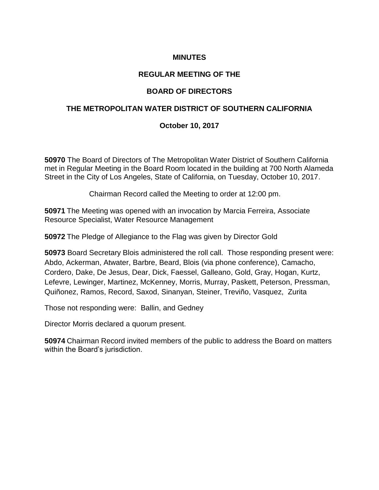# **MINUTES**

### **REGULAR MEETING OF THE**

# **BOARD OF DIRECTORS**

#### **THE METROPOLITAN WATER DISTRICT OF SOUTHERN CALIFORNIA**

### **October 10, 2017**

**50970** The Board of Directors of The Metropolitan Water District of Southern California met in Regular Meeting in the Board Room located in the building at 700 North Alameda Street in the City of Los Angeles, State of California, on Tuesday, October 10, 2017.

Chairman Record called the Meeting to order at 12:00 pm.

**50971** The Meeting was opened with an invocation by Marcia Ferreira, Associate Resource Specialist, Water Resource Management

**50972** The Pledge of Allegiance to the Flag was given by Director Gold

**50973** Board Secretary Blois administered the roll call. Those responding present were: Abdo, Ackerman, Atwater, Barbre, Beard, Blois (via phone conference), Camacho, Cordero, Dake, De Jesus, Dear, Dick, Faessel, Galleano, Gold, Gray, Hogan, Kurtz, Lefevre, Lewinger, Martinez, McKenney, Morris, Murray, Paskett, Peterson, Pressman, Quiñonez, Ramos, Record, Saxod, Sinanyan, Steiner, Treviño, Vasquez, Zurita

Those not responding were: Ballin, and Gedney

Director Morris declared a quorum present.

**50974** Chairman Record invited members of the public to address the Board on matters within the Board's jurisdiction.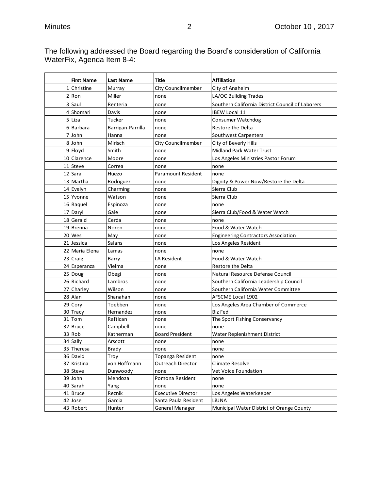The following addressed the Board regarding the Board's consideration of California WaterFix, Agenda Item 8-4:

|   | <b>First Name</b>   | <b>Last Name</b>  | Title                     | <b>Affiliation</b>                               |
|---|---------------------|-------------------|---------------------------|--------------------------------------------------|
| 1 | Christine           | Murray            | <b>City Councilmember</b> | City of Anaheim                                  |
|   | 2 Ron               | Miller            | none                      | LA/OC Building Trades                            |
|   | 3 Saul              | Renteria          | none                      | Southern California District Council of Laborers |
|   | 4 Shomari           | Davis             | none                      | <b>IBEW Local 11</b>                             |
|   | 5 Liza              | Tucker            | none                      | <b>Consumer Watchdog</b>                         |
|   | 6 Barbara           | Barrigan-Parrilla | none                      | Restore the Delta                                |
|   | 7 John              | Hanna             | none                      | Southwest Carpenters                             |
|   | 8 John              | Mirisch           | <b>City Councilmember</b> | City of Beverly Hills                            |
|   | 9 Floyd             | Smith             | none                      | Midland Park Water Trust                         |
|   | 10 Clarence         | Moore             | none                      | Los Angeles Ministries Pastor Forum              |
|   | 11 Steve            | Correa            | none                      | none                                             |
|   | 12 Sara             | Huezo             | Paramount Resident        | none                                             |
|   | 13 Martha           | Rodriguez         | none                      | Dignity & Power Now/Restore the Delta            |
|   | 14 Evelyn           | Charming          | none                      | Sierra Club                                      |
|   | 15 Yvonne           | Watson            | none                      | Sierra Club                                      |
|   | 16 Raquel           | Espinoza          | none                      | none                                             |
|   | 17 Daryl            | Gale              | none                      | Sierra Club/Food & Water Watch                   |
|   | 18 Gerald           | Cerda             | none                      | none                                             |
|   | 19 Brenna           | Noren             | none                      | Food & Water Watch                               |
|   | 20 Wes              | May               | none                      | <b>Engineering Contractors Association</b>       |
|   | 21 Jessica          | Salans            | none                      | Los Angeles Resident                             |
|   | 22 Maria Elena      | Lamas             | none                      | none                                             |
|   | 23 Craig            | Barry             | LA Resident               | Food & Water Watch                               |
|   | 24 Esperanza        | Vielma            | none                      | Restore the Delta                                |
|   | 25 Doug             | Obegi             | none                      | Natural Resource Defense Council                 |
|   | 26 Richard          | Lambros           | none                      | Southern California Leadership Council           |
|   | 27 Charley          | Wilson            | none                      | Southern California Water Committee              |
|   | 28 Alan             | Shanahan          | none                      | <b>AFSCME Local 1902</b>                         |
|   | 29 Cory             | Toebben           | none                      | Los Angeles Area Chamber of Commerce             |
|   | 30 Tracy            | Hernandez         | none                      | <b>Biz Fed</b>                                   |
|   | 31 Tom              | Raftican          | none                      | The Sport Fishing Conservancy                    |
|   | 32 Bruce            | Campbell          | none                      | none                                             |
|   | 33 Rob              | Katherman         | <b>Board President</b>    | Water Replenishment District                     |
|   | 34 Sally            | Arscott           | none                      | none                                             |
|   | 35 Theresa          | <b>Brady</b>      | none                      | none                                             |
|   | 36 David            | Troy              | Topanga Resident          | none                                             |
|   | 37 Kristina         | von Hoffmann      | <b>Outreach Director</b>  | Climate Resolve                                  |
|   | 38 Steve            | Dunwoody          | none<br>Pomona Resident   | Vet Voice Foundation                             |
|   | 39 John<br>40 Sarah | Mendoza<br>Yang   | none                      | none                                             |
|   | 41 Bruce            | Reznik            | <b>Executive Director</b> | none<br>Los Angeles Waterkeeper                  |
|   | 42 Jose             | Garcia            | Santa Paula Resident      | LiUNA                                            |
|   | 43 Robert           | Hunter            | General Manager           | Municipal Water District of Orange County        |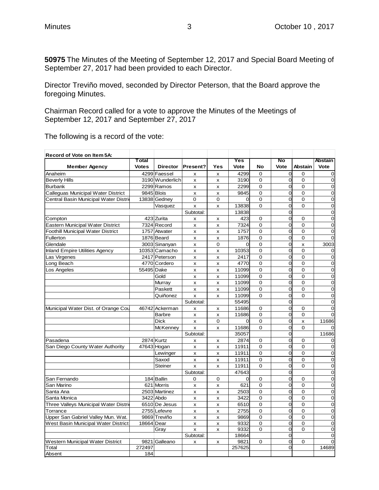**50975** The Minutes of the Meeting of September 12, 2017 and Special Board Meeting of September 27, 2017 had been provided to each Director.

Director Treviño moved, seconded by Director Peterson, that the Board approve the foregoing Minutes.

Chairman Record called for a vote to approve the Minutes of the Meetings of September 12, 2017 and September 27, 2017

| Total<br>Present?<br>Vote<br><b>Abstain</b><br><b>Member Agency</b><br><b>Votes</b><br><b>Director</b><br>Yes<br>Vote<br>No<br>Vote<br>$\overline{O}$<br>4299 Faessel<br>4299<br>$\Omega$<br>$\mathbf 0$<br>Anaheim<br>0<br>$\pmb{\times}$<br>x<br>O<br><b>Beverly Hills</b><br>3190 Wunderlich<br>3190<br>$\mathbf 0$<br>$\mathbf 0$<br>0<br>x<br>x<br>$\overline{O}$<br>2299 Ramos<br>2299<br>$\mathbf 0$<br><b>Burbank</b><br>0<br>0<br>X<br>$\boldsymbol{\mathsf{x}}$<br>$\overline{O}$<br>Calleguas Municipal Water District<br>9845 Blois<br>9845<br>$\Omega$<br>0<br>$\mathbf 0$<br>x<br>x<br>$\overline{O}$<br>Central Basin Municipal Water Distri<br>$\overline{0}$<br>13838 Gedney<br>0<br>$\mathbf 0$<br>$\Omega$<br>$\mathbf 0$<br>$\mathbf 0$<br>0<br>$\Omega$<br>$\mathbf 0$<br>$\mathbf 0$<br>13838<br>Vasquez<br>x<br>$\pmb{\times}$<br>0<br>$\mathbf 0$<br>Subtotal:<br>13838<br>$\overline{O}$<br>$\mathbf 0$<br>423 Zurita<br>423<br>Compton<br>$\mathbf 0$<br>$\mathbf 0$<br>x<br>x<br>O<br>Eastern Municipal Water District<br>7324 Record<br>$\overline{0}$<br>7324<br>$\mathbf 0$<br>$\mathbf 0$<br>x<br>X<br>Foothill Municipal Water District<br>0<br>1757 Atwater<br>1757<br>$\mathbf 0$<br>$\mathbf 0$<br>$\mathbf 0$<br>x<br>X<br>0<br>Fullerton<br>1876 Beard<br>1876<br>$\Omega$<br>$\Omega$<br>$\Omega$<br>x<br>$\boldsymbol{\mathsf{x}}$<br>3003 Sinanyan<br>$\overline{0}$<br>0<br>Glendale<br>0<br>$\Omega$<br>3003<br>X<br>x<br>$\Omega$<br>O<br><b>Inland Empire Utilities Agency</b><br>10353 Camacho<br>10353<br>$\mathbf 0$<br>x<br>$\pmb{\times}$<br>$\mathbf 0$<br>0<br>Las Virgenes<br>2417 Peterson<br>$\mathbf 0$<br>2417<br>$\mathbf 0$<br>$\mathbf 0$<br>x<br>$\pmb{\times}$<br>$\overline{O}$<br>Long Beach<br>4770 Cordero<br>4770<br>$\Omega$<br>$\Omega$<br>$\mathbf 0$<br>x<br>X<br>$\overline{O}$<br>55495 Dake<br>$\mathbf 0$<br>$\mathbf 0$<br>$\mathbf 0$<br>Los Angeles<br>11099<br>x<br>X<br>0<br>$\overline{0}$<br>$\mathbf 0$<br>$\mathbf 0$<br>Gold<br>11099<br>x<br>X<br>0<br>Murray<br>11099<br>$\mathbf 0$<br>0<br>$\mathbf 0$<br>x<br>$\boldsymbol{\mathsf{x}}$<br>$\overline{O}$<br>Paskett<br>11099<br>$\Omega$<br>$\Omega$<br>$\mathbf 0$<br>$\mathsf{x}$<br>X<br>O<br>Quiñonez<br>$\Omega$<br>$\overline{0}$<br>11099<br>$\Omega$<br>x<br>$\boldsymbol{\mathsf{x}}$<br>$\overline{O}$<br>Subtotal:<br>55495<br>$\mathbf 0$<br>0<br>Municipal Water Dist. of Orange Cou<br>46742 Ackerman<br>11686<br>$\mathbf 0$<br>$\mathbf 0$<br>$\overline{0}$<br>x<br>X<br><b>Barbre</b><br>0<br>11686<br>0<br>0<br>$\Omega$<br>x<br>X<br>O<br>Dick<br>$\Omega$<br><sub>0</sub><br>$\Omega$<br>11686<br>x<br>X<br><b>McKenney</b><br>O<br>11686<br>$\Omega$<br>$\Omega$<br>x<br>X<br>0<br>Subtotal:<br>35057<br>11686<br>0<br>2874 Kurtz<br>2874<br>Pasadena<br>$\mathbf 0$<br>$\mathbf 0$<br>$\mathbf 0$<br>x<br>X<br>$\overline{O}$<br>San Diego County Water Authority<br>47643 Hogan<br>11911<br>$\Omega$<br>$\Omega$<br>$\mathbf 0$<br>X<br>$\boldsymbol{\mathsf{x}}$<br>O<br>$\overline{O}$<br>Lewinger<br>11911<br>$\Omega$<br>$\Omega$<br>x<br>X<br>$\mathbf 0$<br>0<br>0<br>$\mathbf 0$<br>Saxod<br>11911<br>x<br>X<br>O<br>11911<br>$\Omega$<br>$\Omega$<br>$\mathbf 0$<br>Steiner<br>x<br>x<br>$\overline{O}$<br>$\overline{0}$<br>47643<br>Subtotal:<br>$\overline{O}$<br>184 Ballin<br>$\mathbf 0$<br>San Fernando<br>0<br>$\mathbf 0$<br>$\Omega$<br>$\mathbf 0$<br>$\mathbf 0$<br>O<br>San Marino<br>621 Morris<br>621<br>$\mathbf 0$<br>$\mathbf 0$<br>$\mathbf 0$<br>x<br>$\pmb{\times}$<br>2503 Martinez<br>$\mathbf 0$<br>0<br>$\mathbf 0$<br>$\mathbf 0$<br>Santa Ana<br>2503<br>x<br>x<br>O<br>$\mathbf 0$<br>Santa Monica<br>3422 Abdo<br>3422<br>$\mathbf 0$<br>$\mathbf 0$<br>x<br>$\boldsymbol{\mathsf{x}}$<br>O<br>Three Valleys Municipal Water Distrio<br>6510 De Jesus<br>$\overline{0}$<br>6510<br>$\Omega$<br>$\Omega$<br>X<br>X<br>0<br>$\mathbf 0$<br>Torrance<br>2755 Lefevre<br>2755<br>$\mathbf 0$<br>$\mathbf 0$<br>x<br>x<br>Upper San Gabriel Valley Mun. Wat.<br>9869 Treviño<br>9869<br>$\mathbf 0$<br>0<br>0<br>$\mathbf 0$<br>x<br>X<br>$\overline{O}$<br>West Basin Municipal Water District<br>18664 Dear<br>9332<br>$\Omega$<br>$\Omega$<br>$\overline{0}$<br>x<br>x<br>0<br>9332<br>$\Omega$<br>$\mathbf 0$<br>$\Omega$<br>Gray<br>x<br>X<br>Subtotal:<br>0<br>18664<br>$\Omega$ | Record of Vote on Item 5A:       |               |   |   |      |   |                |   |                |
|------------------------------------------------------------------------------------------------------------------------------------------------------------------------------------------------------------------------------------------------------------------------------------------------------------------------------------------------------------------------------------------------------------------------------------------------------------------------------------------------------------------------------------------------------------------------------------------------------------------------------------------------------------------------------------------------------------------------------------------------------------------------------------------------------------------------------------------------------------------------------------------------------------------------------------------------------------------------------------------------------------------------------------------------------------------------------------------------------------------------------------------------------------------------------------------------------------------------------------------------------------------------------------------------------------------------------------------------------------------------------------------------------------------------------------------------------------------------------------------------------------------------------------------------------------------------------------------------------------------------------------------------------------------------------------------------------------------------------------------------------------------------------------------------------------------------------------------------------------------------------------------------------------------------------------------------------------------------------------------------------------------------------------------------------------------------------------------------------------------------------------------------------------------------------------------------------------------------------------------------------------------------------------------------------------------------------------------------------------------------------------------------------------------------------------------------------------------------------------------------------------------------------------------------------------------------------------------------------------------------------------------------------------------------------------------------------------------------------------------------------------------------------------------------------------------------------------------------------------------------------------------------------------------------------------------------------------------------------------------------------------------------------------------------------------------------------------------------------------------------------------------------------------------------------------------------------------------------------------------------------------------------------------------------------------------------------------------------------------------------------------------------------------------------------------------------------------------------------------------------------------------------------------------------------------------------------------------------------------------------------------------------------------------------------------------------------------------------------------------------------------------------------------------------------------------------------------------------------------------------------------------------------------------------------------------------------------------------------------------------------------------------------------------------------------------------------------------------------------------------------------------------------------------------------------------------------------------------------------------------------------------------------------------------------------------------------------------------------------------------------------------|----------------------------------|---------------|---|---|------|---|----------------|---|----------------|
|                                                                                                                                                                                                                                                                                                                                                                                                                                                                                                                                                                                                                                                                                                                                                                                                                                                                                                                                                                                                                                                                                                                                                                                                                                                                                                                                                                                                                                                                                                                                                                                                                                                                                                                                                                                                                                                                                                                                                                                                                                                                                                                                                                                                                                                                                                                                                                                                                                                                                                                                                                                                                                                                                                                                                                                                                                                                                                                                                                                                                                                                                                                                                                                                                                                                                                                                                                                                                                                                                                                                                                                                                                                                                                                                                                                                                                                                                                                                                                                                                                                                                                                                                                                                                                                                                                                                                                                          |                                  |               |   |   | Yes  |   | No             |   | <b>Abstain</b> |
|                                                                                                                                                                                                                                                                                                                                                                                                                                                                                                                                                                                                                                                                                                                                                                                                                                                                                                                                                                                                                                                                                                                                                                                                                                                                                                                                                                                                                                                                                                                                                                                                                                                                                                                                                                                                                                                                                                                                                                                                                                                                                                                                                                                                                                                                                                                                                                                                                                                                                                                                                                                                                                                                                                                                                                                                                                                                                                                                                                                                                                                                                                                                                                                                                                                                                                                                                                                                                                                                                                                                                                                                                                                                                                                                                                                                                                                                                                                                                                                                                                                                                                                                                                                                                                                                                                                                                                                          |                                  |               |   |   |      |   |                |   |                |
|                                                                                                                                                                                                                                                                                                                                                                                                                                                                                                                                                                                                                                                                                                                                                                                                                                                                                                                                                                                                                                                                                                                                                                                                                                                                                                                                                                                                                                                                                                                                                                                                                                                                                                                                                                                                                                                                                                                                                                                                                                                                                                                                                                                                                                                                                                                                                                                                                                                                                                                                                                                                                                                                                                                                                                                                                                                                                                                                                                                                                                                                                                                                                                                                                                                                                                                                                                                                                                                                                                                                                                                                                                                                                                                                                                                                                                                                                                                                                                                                                                                                                                                                                                                                                                                                                                                                                                                          |                                  |               |   |   |      |   |                |   |                |
|                                                                                                                                                                                                                                                                                                                                                                                                                                                                                                                                                                                                                                                                                                                                                                                                                                                                                                                                                                                                                                                                                                                                                                                                                                                                                                                                                                                                                                                                                                                                                                                                                                                                                                                                                                                                                                                                                                                                                                                                                                                                                                                                                                                                                                                                                                                                                                                                                                                                                                                                                                                                                                                                                                                                                                                                                                                                                                                                                                                                                                                                                                                                                                                                                                                                                                                                                                                                                                                                                                                                                                                                                                                                                                                                                                                                                                                                                                                                                                                                                                                                                                                                                                                                                                                                                                                                                                                          |                                  |               |   |   |      |   |                |   |                |
|                                                                                                                                                                                                                                                                                                                                                                                                                                                                                                                                                                                                                                                                                                                                                                                                                                                                                                                                                                                                                                                                                                                                                                                                                                                                                                                                                                                                                                                                                                                                                                                                                                                                                                                                                                                                                                                                                                                                                                                                                                                                                                                                                                                                                                                                                                                                                                                                                                                                                                                                                                                                                                                                                                                                                                                                                                                                                                                                                                                                                                                                                                                                                                                                                                                                                                                                                                                                                                                                                                                                                                                                                                                                                                                                                                                                                                                                                                                                                                                                                                                                                                                                                                                                                                                                                                                                                                                          |                                  |               |   |   |      |   |                |   |                |
|                                                                                                                                                                                                                                                                                                                                                                                                                                                                                                                                                                                                                                                                                                                                                                                                                                                                                                                                                                                                                                                                                                                                                                                                                                                                                                                                                                                                                                                                                                                                                                                                                                                                                                                                                                                                                                                                                                                                                                                                                                                                                                                                                                                                                                                                                                                                                                                                                                                                                                                                                                                                                                                                                                                                                                                                                                                                                                                                                                                                                                                                                                                                                                                                                                                                                                                                                                                                                                                                                                                                                                                                                                                                                                                                                                                                                                                                                                                                                                                                                                                                                                                                                                                                                                                                                                                                                                                          |                                  |               |   |   |      |   |                |   |                |
|                                                                                                                                                                                                                                                                                                                                                                                                                                                                                                                                                                                                                                                                                                                                                                                                                                                                                                                                                                                                                                                                                                                                                                                                                                                                                                                                                                                                                                                                                                                                                                                                                                                                                                                                                                                                                                                                                                                                                                                                                                                                                                                                                                                                                                                                                                                                                                                                                                                                                                                                                                                                                                                                                                                                                                                                                                                                                                                                                                                                                                                                                                                                                                                                                                                                                                                                                                                                                                                                                                                                                                                                                                                                                                                                                                                                                                                                                                                                                                                                                                                                                                                                                                                                                                                                                                                                                                                          |                                  |               |   |   |      |   |                |   |                |
|                                                                                                                                                                                                                                                                                                                                                                                                                                                                                                                                                                                                                                                                                                                                                                                                                                                                                                                                                                                                                                                                                                                                                                                                                                                                                                                                                                                                                                                                                                                                                                                                                                                                                                                                                                                                                                                                                                                                                                                                                                                                                                                                                                                                                                                                                                                                                                                                                                                                                                                                                                                                                                                                                                                                                                                                                                                                                                                                                                                                                                                                                                                                                                                                                                                                                                                                                                                                                                                                                                                                                                                                                                                                                                                                                                                                                                                                                                                                                                                                                                                                                                                                                                                                                                                                                                                                                                                          |                                  |               |   |   |      |   |                |   |                |
|                                                                                                                                                                                                                                                                                                                                                                                                                                                                                                                                                                                                                                                                                                                                                                                                                                                                                                                                                                                                                                                                                                                                                                                                                                                                                                                                                                                                                                                                                                                                                                                                                                                                                                                                                                                                                                                                                                                                                                                                                                                                                                                                                                                                                                                                                                                                                                                                                                                                                                                                                                                                                                                                                                                                                                                                                                                                                                                                                                                                                                                                                                                                                                                                                                                                                                                                                                                                                                                                                                                                                                                                                                                                                                                                                                                                                                                                                                                                                                                                                                                                                                                                                                                                                                                                                                                                                                                          |                                  |               |   |   |      |   |                |   |                |
|                                                                                                                                                                                                                                                                                                                                                                                                                                                                                                                                                                                                                                                                                                                                                                                                                                                                                                                                                                                                                                                                                                                                                                                                                                                                                                                                                                                                                                                                                                                                                                                                                                                                                                                                                                                                                                                                                                                                                                                                                                                                                                                                                                                                                                                                                                                                                                                                                                                                                                                                                                                                                                                                                                                                                                                                                                                                                                                                                                                                                                                                                                                                                                                                                                                                                                                                                                                                                                                                                                                                                                                                                                                                                                                                                                                                                                                                                                                                                                                                                                                                                                                                                                                                                                                                                                                                                                                          |                                  |               |   |   |      |   |                |   |                |
|                                                                                                                                                                                                                                                                                                                                                                                                                                                                                                                                                                                                                                                                                                                                                                                                                                                                                                                                                                                                                                                                                                                                                                                                                                                                                                                                                                                                                                                                                                                                                                                                                                                                                                                                                                                                                                                                                                                                                                                                                                                                                                                                                                                                                                                                                                                                                                                                                                                                                                                                                                                                                                                                                                                                                                                                                                                                                                                                                                                                                                                                                                                                                                                                                                                                                                                                                                                                                                                                                                                                                                                                                                                                                                                                                                                                                                                                                                                                                                                                                                                                                                                                                                                                                                                                                                                                                                                          |                                  |               |   |   |      |   |                |   |                |
|                                                                                                                                                                                                                                                                                                                                                                                                                                                                                                                                                                                                                                                                                                                                                                                                                                                                                                                                                                                                                                                                                                                                                                                                                                                                                                                                                                                                                                                                                                                                                                                                                                                                                                                                                                                                                                                                                                                                                                                                                                                                                                                                                                                                                                                                                                                                                                                                                                                                                                                                                                                                                                                                                                                                                                                                                                                                                                                                                                                                                                                                                                                                                                                                                                                                                                                                                                                                                                                                                                                                                                                                                                                                                                                                                                                                                                                                                                                                                                                                                                                                                                                                                                                                                                                                                                                                                                                          |                                  |               |   |   |      |   |                |   |                |
|                                                                                                                                                                                                                                                                                                                                                                                                                                                                                                                                                                                                                                                                                                                                                                                                                                                                                                                                                                                                                                                                                                                                                                                                                                                                                                                                                                                                                                                                                                                                                                                                                                                                                                                                                                                                                                                                                                                                                                                                                                                                                                                                                                                                                                                                                                                                                                                                                                                                                                                                                                                                                                                                                                                                                                                                                                                                                                                                                                                                                                                                                                                                                                                                                                                                                                                                                                                                                                                                                                                                                                                                                                                                                                                                                                                                                                                                                                                                                                                                                                                                                                                                                                                                                                                                                                                                                                                          |                                  |               |   |   |      |   |                |   |                |
|                                                                                                                                                                                                                                                                                                                                                                                                                                                                                                                                                                                                                                                                                                                                                                                                                                                                                                                                                                                                                                                                                                                                                                                                                                                                                                                                                                                                                                                                                                                                                                                                                                                                                                                                                                                                                                                                                                                                                                                                                                                                                                                                                                                                                                                                                                                                                                                                                                                                                                                                                                                                                                                                                                                                                                                                                                                                                                                                                                                                                                                                                                                                                                                                                                                                                                                                                                                                                                                                                                                                                                                                                                                                                                                                                                                                                                                                                                                                                                                                                                                                                                                                                                                                                                                                                                                                                                                          |                                  |               |   |   |      |   |                |   |                |
|                                                                                                                                                                                                                                                                                                                                                                                                                                                                                                                                                                                                                                                                                                                                                                                                                                                                                                                                                                                                                                                                                                                                                                                                                                                                                                                                                                                                                                                                                                                                                                                                                                                                                                                                                                                                                                                                                                                                                                                                                                                                                                                                                                                                                                                                                                                                                                                                                                                                                                                                                                                                                                                                                                                                                                                                                                                                                                                                                                                                                                                                                                                                                                                                                                                                                                                                                                                                                                                                                                                                                                                                                                                                                                                                                                                                                                                                                                                                                                                                                                                                                                                                                                                                                                                                                                                                                                                          |                                  |               |   |   |      |   |                |   |                |
|                                                                                                                                                                                                                                                                                                                                                                                                                                                                                                                                                                                                                                                                                                                                                                                                                                                                                                                                                                                                                                                                                                                                                                                                                                                                                                                                                                                                                                                                                                                                                                                                                                                                                                                                                                                                                                                                                                                                                                                                                                                                                                                                                                                                                                                                                                                                                                                                                                                                                                                                                                                                                                                                                                                                                                                                                                                                                                                                                                                                                                                                                                                                                                                                                                                                                                                                                                                                                                                                                                                                                                                                                                                                                                                                                                                                                                                                                                                                                                                                                                                                                                                                                                                                                                                                                                                                                                                          |                                  |               |   |   |      |   |                |   |                |
|                                                                                                                                                                                                                                                                                                                                                                                                                                                                                                                                                                                                                                                                                                                                                                                                                                                                                                                                                                                                                                                                                                                                                                                                                                                                                                                                                                                                                                                                                                                                                                                                                                                                                                                                                                                                                                                                                                                                                                                                                                                                                                                                                                                                                                                                                                                                                                                                                                                                                                                                                                                                                                                                                                                                                                                                                                                                                                                                                                                                                                                                                                                                                                                                                                                                                                                                                                                                                                                                                                                                                                                                                                                                                                                                                                                                                                                                                                                                                                                                                                                                                                                                                                                                                                                                                                                                                                                          |                                  |               |   |   |      |   |                |   |                |
|                                                                                                                                                                                                                                                                                                                                                                                                                                                                                                                                                                                                                                                                                                                                                                                                                                                                                                                                                                                                                                                                                                                                                                                                                                                                                                                                                                                                                                                                                                                                                                                                                                                                                                                                                                                                                                                                                                                                                                                                                                                                                                                                                                                                                                                                                                                                                                                                                                                                                                                                                                                                                                                                                                                                                                                                                                                                                                                                                                                                                                                                                                                                                                                                                                                                                                                                                                                                                                                                                                                                                                                                                                                                                                                                                                                                                                                                                                                                                                                                                                                                                                                                                                                                                                                                                                                                                                                          |                                  |               |   |   |      |   |                |   |                |
|                                                                                                                                                                                                                                                                                                                                                                                                                                                                                                                                                                                                                                                                                                                                                                                                                                                                                                                                                                                                                                                                                                                                                                                                                                                                                                                                                                                                                                                                                                                                                                                                                                                                                                                                                                                                                                                                                                                                                                                                                                                                                                                                                                                                                                                                                                                                                                                                                                                                                                                                                                                                                                                                                                                                                                                                                                                                                                                                                                                                                                                                                                                                                                                                                                                                                                                                                                                                                                                                                                                                                                                                                                                                                                                                                                                                                                                                                                                                                                                                                                                                                                                                                                                                                                                                                                                                                                                          |                                  |               |   |   |      |   |                |   |                |
|                                                                                                                                                                                                                                                                                                                                                                                                                                                                                                                                                                                                                                                                                                                                                                                                                                                                                                                                                                                                                                                                                                                                                                                                                                                                                                                                                                                                                                                                                                                                                                                                                                                                                                                                                                                                                                                                                                                                                                                                                                                                                                                                                                                                                                                                                                                                                                                                                                                                                                                                                                                                                                                                                                                                                                                                                                                                                                                                                                                                                                                                                                                                                                                                                                                                                                                                                                                                                                                                                                                                                                                                                                                                                                                                                                                                                                                                                                                                                                                                                                                                                                                                                                                                                                                                                                                                                                                          |                                  |               |   |   |      |   |                |   |                |
|                                                                                                                                                                                                                                                                                                                                                                                                                                                                                                                                                                                                                                                                                                                                                                                                                                                                                                                                                                                                                                                                                                                                                                                                                                                                                                                                                                                                                                                                                                                                                                                                                                                                                                                                                                                                                                                                                                                                                                                                                                                                                                                                                                                                                                                                                                                                                                                                                                                                                                                                                                                                                                                                                                                                                                                                                                                                                                                                                                                                                                                                                                                                                                                                                                                                                                                                                                                                                                                                                                                                                                                                                                                                                                                                                                                                                                                                                                                                                                                                                                                                                                                                                                                                                                                                                                                                                                                          |                                  |               |   |   |      |   |                |   |                |
|                                                                                                                                                                                                                                                                                                                                                                                                                                                                                                                                                                                                                                                                                                                                                                                                                                                                                                                                                                                                                                                                                                                                                                                                                                                                                                                                                                                                                                                                                                                                                                                                                                                                                                                                                                                                                                                                                                                                                                                                                                                                                                                                                                                                                                                                                                                                                                                                                                                                                                                                                                                                                                                                                                                                                                                                                                                                                                                                                                                                                                                                                                                                                                                                                                                                                                                                                                                                                                                                                                                                                                                                                                                                                                                                                                                                                                                                                                                                                                                                                                                                                                                                                                                                                                                                                                                                                                                          |                                  |               |   |   |      |   |                |   |                |
|                                                                                                                                                                                                                                                                                                                                                                                                                                                                                                                                                                                                                                                                                                                                                                                                                                                                                                                                                                                                                                                                                                                                                                                                                                                                                                                                                                                                                                                                                                                                                                                                                                                                                                                                                                                                                                                                                                                                                                                                                                                                                                                                                                                                                                                                                                                                                                                                                                                                                                                                                                                                                                                                                                                                                                                                                                                                                                                                                                                                                                                                                                                                                                                                                                                                                                                                                                                                                                                                                                                                                                                                                                                                                                                                                                                                                                                                                                                                                                                                                                                                                                                                                                                                                                                                                                                                                                                          |                                  |               |   |   |      |   |                |   |                |
|                                                                                                                                                                                                                                                                                                                                                                                                                                                                                                                                                                                                                                                                                                                                                                                                                                                                                                                                                                                                                                                                                                                                                                                                                                                                                                                                                                                                                                                                                                                                                                                                                                                                                                                                                                                                                                                                                                                                                                                                                                                                                                                                                                                                                                                                                                                                                                                                                                                                                                                                                                                                                                                                                                                                                                                                                                                                                                                                                                                                                                                                                                                                                                                                                                                                                                                                                                                                                                                                                                                                                                                                                                                                                                                                                                                                                                                                                                                                                                                                                                                                                                                                                                                                                                                                                                                                                                                          |                                  |               |   |   |      |   |                |   |                |
|                                                                                                                                                                                                                                                                                                                                                                                                                                                                                                                                                                                                                                                                                                                                                                                                                                                                                                                                                                                                                                                                                                                                                                                                                                                                                                                                                                                                                                                                                                                                                                                                                                                                                                                                                                                                                                                                                                                                                                                                                                                                                                                                                                                                                                                                                                                                                                                                                                                                                                                                                                                                                                                                                                                                                                                                                                                                                                                                                                                                                                                                                                                                                                                                                                                                                                                                                                                                                                                                                                                                                                                                                                                                                                                                                                                                                                                                                                                                                                                                                                                                                                                                                                                                                                                                                                                                                                                          |                                  |               |   |   |      |   |                |   |                |
|                                                                                                                                                                                                                                                                                                                                                                                                                                                                                                                                                                                                                                                                                                                                                                                                                                                                                                                                                                                                                                                                                                                                                                                                                                                                                                                                                                                                                                                                                                                                                                                                                                                                                                                                                                                                                                                                                                                                                                                                                                                                                                                                                                                                                                                                                                                                                                                                                                                                                                                                                                                                                                                                                                                                                                                                                                                                                                                                                                                                                                                                                                                                                                                                                                                                                                                                                                                                                                                                                                                                                                                                                                                                                                                                                                                                                                                                                                                                                                                                                                                                                                                                                                                                                                                                                                                                                                                          |                                  |               |   |   |      |   |                |   |                |
|                                                                                                                                                                                                                                                                                                                                                                                                                                                                                                                                                                                                                                                                                                                                                                                                                                                                                                                                                                                                                                                                                                                                                                                                                                                                                                                                                                                                                                                                                                                                                                                                                                                                                                                                                                                                                                                                                                                                                                                                                                                                                                                                                                                                                                                                                                                                                                                                                                                                                                                                                                                                                                                                                                                                                                                                                                                                                                                                                                                                                                                                                                                                                                                                                                                                                                                                                                                                                                                                                                                                                                                                                                                                                                                                                                                                                                                                                                                                                                                                                                                                                                                                                                                                                                                                                                                                                                                          |                                  |               |   |   |      |   |                |   |                |
|                                                                                                                                                                                                                                                                                                                                                                                                                                                                                                                                                                                                                                                                                                                                                                                                                                                                                                                                                                                                                                                                                                                                                                                                                                                                                                                                                                                                                                                                                                                                                                                                                                                                                                                                                                                                                                                                                                                                                                                                                                                                                                                                                                                                                                                                                                                                                                                                                                                                                                                                                                                                                                                                                                                                                                                                                                                                                                                                                                                                                                                                                                                                                                                                                                                                                                                                                                                                                                                                                                                                                                                                                                                                                                                                                                                                                                                                                                                                                                                                                                                                                                                                                                                                                                                                                                                                                                                          |                                  |               |   |   |      |   |                |   |                |
|                                                                                                                                                                                                                                                                                                                                                                                                                                                                                                                                                                                                                                                                                                                                                                                                                                                                                                                                                                                                                                                                                                                                                                                                                                                                                                                                                                                                                                                                                                                                                                                                                                                                                                                                                                                                                                                                                                                                                                                                                                                                                                                                                                                                                                                                                                                                                                                                                                                                                                                                                                                                                                                                                                                                                                                                                                                                                                                                                                                                                                                                                                                                                                                                                                                                                                                                                                                                                                                                                                                                                                                                                                                                                                                                                                                                                                                                                                                                                                                                                                                                                                                                                                                                                                                                                                                                                                                          |                                  |               |   |   |      |   |                |   |                |
|                                                                                                                                                                                                                                                                                                                                                                                                                                                                                                                                                                                                                                                                                                                                                                                                                                                                                                                                                                                                                                                                                                                                                                                                                                                                                                                                                                                                                                                                                                                                                                                                                                                                                                                                                                                                                                                                                                                                                                                                                                                                                                                                                                                                                                                                                                                                                                                                                                                                                                                                                                                                                                                                                                                                                                                                                                                                                                                                                                                                                                                                                                                                                                                                                                                                                                                                                                                                                                                                                                                                                                                                                                                                                                                                                                                                                                                                                                                                                                                                                                                                                                                                                                                                                                                                                                                                                                                          |                                  |               |   |   |      |   |                |   |                |
|                                                                                                                                                                                                                                                                                                                                                                                                                                                                                                                                                                                                                                                                                                                                                                                                                                                                                                                                                                                                                                                                                                                                                                                                                                                                                                                                                                                                                                                                                                                                                                                                                                                                                                                                                                                                                                                                                                                                                                                                                                                                                                                                                                                                                                                                                                                                                                                                                                                                                                                                                                                                                                                                                                                                                                                                                                                                                                                                                                                                                                                                                                                                                                                                                                                                                                                                                                                                                                                                                                                                                                                                                                                                                                                                                                                                                                                                                                                                                                                                                                                                                                                                                                                                                                                                                                                                                                                          |                                  |               |   |   |      |   |                |   |                |
|                                                                                                                                                                                                                                                                                                                                                                                                                                                                                                                                                                                                                                                                                                                                                                                                                                                                                                                                                                                                                                                                                                                                                                                                                                                                                                                                                                                                                                                                                                                                                                                                                                                                                                                                                                                                                                                                                                                                                                                                                                                                                                                                                                                                                                                                                                                                                                                                                                                                                                                                                                                                                                                                                                                                                                                                                                                                                                                                                                                                                                                                                                                                                                                                                                                                                                                                                                                                                                                                                                                                                                                                                                                                                                                                                                                                                                                                                                                                                                                                                                                                                                                                                                                                                                                                                                                                                                                          |                                  |               |   |   |      |   |                |   |                |
|                                                                                                                                                                                                                                                                                                                                                                                                                                                                                                                                                                                                                                                                                                                                                                                                                                                                                                                                                                                                                                                                                                                                                                                                                                                                                                                                                                                                                                                                                                                                                                                                                                                                                                                                                                                                                                                                                                                                                                                                                                                                                                                                                                                                                                                                                                                                                                                                                                                                                                                                                                                                                                                                                                                                                                                                                                                                                                                                                                                                                                                                                                                                                                                                                                                                                                                                                                                                                                                                                                                                                                                                                                                                                                                                                                                                                                                                                                                                                                                                                                                                                                                                                                                                                                                                                                                                                                                          |                                  |               |   |   |      |   |                |   |                |
|                                                                                                                                                                                                                                                                                                                                                                                                                                                                                                                                                                                                                                                                                                                                                                                                                                                                                                                                                                                                                                                                                                                                                                                                                                                                                                                                                                                                                                                                                                                                                                                                                                                                                                                                                                                                                                                                                                                                                                                                                                                                                                                                                                                                                                                                                                                                                                                                                                                                                                                                                                                                                                                                                                                                                                                                                                                                                                                                                                                                                                                                                                                                                                                                                                                                                                                                                                                                                                                                                                                                                                                                                                                                                                                                                                                                                                                                                                                                                                                                                                                                                                                                                                                                                                                                                                                                                                                          |                                  |               |   |   |      |   |                |   |                |
|                                                                                                                                                                                                                                                                                                                                                                                                                                                                                                                                                                                                                                                                                                                                                                                                                                                                                                                                                                                                                                                                                                                                                                                                                                                                                                                                                                                                                                                                                                                                                                                                                                                                                                                                                                                                                                                                                                                                                                                                                                                                                                                                                                                                                                                                                                                                                                                                                                                                                                                                                                                                                                                                                                                                                                                                                                                                                                                                                                                                                                                                                                                                                                                                                                                                                                                                                                                                                                                                                                                                                                                                                                                                                                                                                                                                                                                                                                                                                                                                                                                                                                                                                                                                                                                                                                                                                                                          |                                  |               |   |   |      |   |                |   |                |
|                                                                                                                                                                                                                                                                                                                                                                                                                                                                                                                                                                                                                                                                                                                                                                                                                                                                                                                                                                                                                                                                                                                                                                                                                                                                                                                                                                                                                                                                                                                                                                                                                                                                                                                                                                                                                                                                                                                                                                                                                                                                                                                                                                                                                                                                                                                                                                                                                                                                                                                                                                                                                                                                                                                                                                                                                                                                                                                                                                                                                                                                                                                                                                                                                                                                                                                                                                                                                                                                                                                                                                                                                                                                                                                                                                                                                                                                                                                                                                                                                                                                                                                                                                                                                                                                                                                                                                                          |                                  |               |   |   |      |   |                |   |                |
|                                                                                                                                                                                                                                                                                                                                                                                                                                                                                                                                                                                                                                                                                                                                                                                                                                                                                                                                                                                                                                                                                                                                                                                                                                                                                                                                                                                                                                                                                                                                                                                                                                                                                                                                                                                                                                                                                                                                                                                                                                                                                                                                                                                                                                                                                                                                                                                                                                                                                                                                                                                                                                                                                                                                                                                                                                                                                                                                                                                                                                                                                                                                                                                                                                                                                                                                                                                                                                                                                                                                                                                                                                                                                                                                                                                                                                                                                                                                                                                                                                                                                                                                                                                                                                                                                                                                                                                          |                                  |               |   |   |      |   |                |   |                |
|                                                                                                                                                                                                                                                                                                                                                                                                                                                                                                                                                                                                                                                                                                                                                                                                                                                                                                                                                                                                                                                                                                                                                                                                                                                                                                                                                                                                                                                                                                                                                                                                                                                                                                                                                                                                                                                                                                                                                                                                                                                                                                                                                                                                                                                                                                                                                                                                                                                                                                                                                                                                                                                                                                                                                                                                                                                                                                                                                                                                                                                                                                                                                                                                                                                                                                                                                                                                                                                                                                                                                                                                                                                                                                                                                                                                                                                                                                                                                                                                                                                                                                                                                                                                                                                                                                                                                                                          |                                  |               |   |   |      |   |                |   |                |
|                                                                                                                                                                                                                                                                                                                                                                                                                                                                                                                                                                                                                                                                                                                                                                                                                                                                                                                                                                                                                                                                                                                                                                                                                                                                                                                                                                                                                                                                                                                                                                                                                                                                                                                                                                                                                                                                                                                                                                                                                                                                                                                                                                                                                                                                                                                                                                                                                                                                                                                                                                                                                                                                                                                                                                                                                                                                                                                                                                                                                                                                                                                                                                                                                                                                                                                                                                                                                                                                                                                                                                                                                                                                                                                                                                                                                                                                                                                                                                                                                                                                                                                                                                                                                                                                                                                                                                                          |                                  |               |   |   |      |   |                |   |                |
|                                                                                                                                                                                                                                                                                                                                                                                                                                                                                                                                                                                                                                                                                                                                                                                                                                                                                                                                                                                                                                                                                                                                                                                                                                                                                                                                                                                                                                                                                                                                                                                                                                                                                                                                                                                                                                                                                                                                                                                                                                                                                                                                                                                                                                                                                                                                                                                                                                                                                                                                                                                                                                                                                                                                                                                                                                                                                                                                                                                                                                                                                                                                                                                                                                                                                                                                                                                                                                                                                                                                                                                                                                                                                                                                                                                                                                                                                                                                                                                                                                                                                                                                                                                                                                                                                                                                                                                          |                                  |               |   |   |      |   |                |   |                |
|                                                                                                                                                                                                                                                                                                                                                                                                                                                                                                                                                                                                                                                                                                                                                                                                                                                                                                                                                                                                                                                                                                                                                                                                                                                                                                                                                                                                                                                                                                                                                                                                                                                                                                                                                                                                                                                                                                                                                                                                                                                                                                                                                                                                                                                                                                                                                                                                                                                                                                                                                                                                                                                                                                                                                                                                                                                                                                                                                                                                                                                                                                                                                                                                                                                                                                                                                                                                                                                                                                                                                                                                                                                                                                                                                                                                                                                                                                                                                                                                                                                                                                                                                                                                                                                                                                                                                                                          |                                  |               |   |   |      |   |                |   |                |
|                                                                                                                                                                                                                                                                                                                                                                                                                                                                                                                                                                                                                                                                                                                                                                                                                                                                                                                                                                                                                                                                                                                                                                                                                                                                                                                                                                                                                                                                                                                                                                                                                                                                                                                                                                                                                                                                                                                                                                                                                                                                                                                                                                                                                                                                                                                                                                                                                                                                                                                                                                                                                                                                                                                                                                                                                                                                                                                                                                                                                                                                                                                                                                                                                                                                                                                                                                                                                                                                                                                                                                                                                                                                                                                                                                                                                                                                                                                                                                                                                                                                                                                                                                                                                                                                                                                                                                                          |                                  |               |   |   |      |   |                |   |                |
|                                                                                                                                                                                                                                                                                                                                                                                                                                                                                                                                                                                                                                                                                                                                                                                                                                                                                                                                                                                                                                                                                                                                                                                                                                                                                                                                                                                                                                                                                                                                                                                                                                                                                                                                                                                                                                                                                                                                                                                                                                                                                                                                                                                                                                                                                                                                                                                                                                                                                                                                                                                                                                                                                                                                                                                                                                                                                                                                                                                                                                                                                                                                                                                                                                                                                                                                                                                                                                                                                                                                                                                                                                                                                                                                                                                                                                                                                                                                                                                                                                                                                                                                                                                                                                                                                                                                                                                          |                                  |               |   |   |      |   |                |   |                |
|                                                                                                                                                                                                                                                                                                                                                                                                                                                                                                                                                                                                                                                                                                                                                                                                                                                                                                                                                                                                                                                                                                                                                                                                                                                                                                                                                                                                                                                                                                                                                                                                                                                                                                                                                                                                                                                                                                                                                                                                                                                                                                                                                                                                                                                                                                                                                                                                                                                                                                                                                                                                                                                                                                                                                                                                                                                                                                                                                                                                                                                                                                                                                                                                                                                                                                                                                                                                                                                                                                                                                                                                                                                                                                                                                                                                                                                                                                                                                                                                                                                                                                                                                                                                                                                                                                                                                                                          | Western Municipal Water District | 9821 Galleano | x | x | 9821 | 0 | $\overline{O}$ | 0 | $\Omega$       |
| Total<br>272497<br>257625<br>0<br>14689                                                                                                                                                                                                                                                                                                                                                                                                                                                                                                                                                                                                                                                                                                                                                                                                                                                                                                                                                                                                                                                                                                                                                                                                                                                                                                                                                                                                                                                                                                                                                                                                                                                                                                                                                                                                                                                                                                                                                                                                                                                                                                                                                                                                                                                                                                                                                                                                                                                                                                                                                                                                                                                                                                                                                                                                                                                                                                                                                                                                                                                                                                                                                                                                                                                                                                                                                                                                                                                                                                                                                                                                                                                                                                                                                                                                                                                                                                                                                                                                                                                                                                                                                                                                                                                                                                                                                  |                                  |               |   |   |      |   |                |   |                |
| 184                                                                                                                                                                                                                                                                                                                                                                                                                                                                                                                                                                                                                                                                                                                                                                                                                                                                                                                                                                                                                                                                                                                                                                                                                                                                                                                                                                                                                                                                                                                                                                                                                                                                                                                                                                                                                                                                                                                                                                                                                                                                                                                                                                                                                                                                                                                                                                                                                                                                                                                                                                                                                                                                                                                                                                                                                                                                                                                                                                                                                                                                                                                                                                                                                                                                                                                                                                                                                                                                                                                                                                                                                                                                                                                                                                                                                                                                                                                                                                                                                                                                                                                                                                                                                                                                                                                                                                                      | Absent                           |               |   |   |      |   |                |   |                |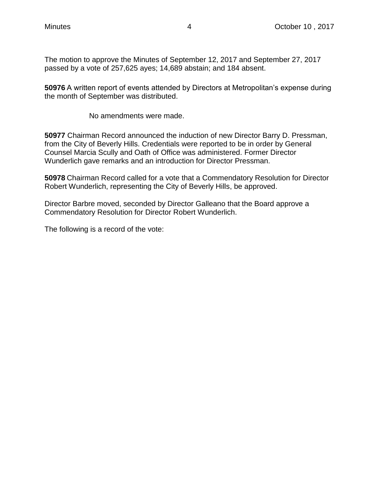The motion to approve the Minutes of September 12, 2017 and September 27, 2017 passed by a vote of 257,625 ayes; 14,689 abstain; and 184 absent.

**50976** A written report of events attended by Directors at Metropolitan's expense during the month of September was distributed.

No amendments were made.

**50977** Chairman Record announced the induction of new Director Barry D. Pressman, from the City of Beverly Hills. Credentials were reported to be in order by General Counsel Marcia Scully and Oath of Office was administered. Former Director Wunderlich gave remarks and an introduction for Director Pressman.

**50978** Chairman Record called for a vote that a Commendatory Resolution for Director Robert Wunderlich, representing the City of Beverly Hills, be approved.

Director Barbre moved, seconded by Director Galleano that the Board approve a Commendatory Resolution for Director Robert Wunderlich.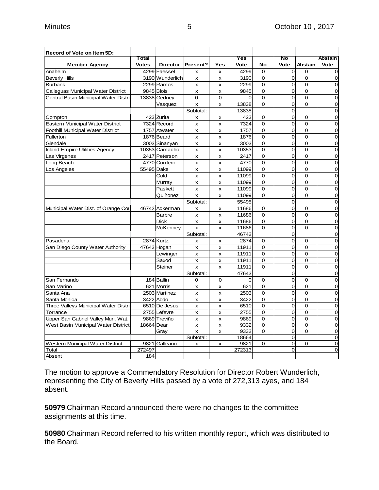| Record of Vote on Item 5D:            |              |                               |                |                           |          |                      |                                  |                         |                                  |
|---------------------------------------|--------------|-------------------------------|----------------|---------------------------|----------|----------------------|----------------------------------|-------------------------|----------------------------------|
|                                       | Total        |                               |                |                           | Yes      |                      | No                               |                         | <b>Abstain</b>                   |
| <b>Member Agency</b>                  | <b>Votes</b> | <b>Director</b>               | Present?       | Yes                       | Vote     | No                   | Vote                             | <b>Abstain</b>          | Vote                             |
| Anaheim                               |              | 4299 Faessel                  | X              | x                         | 4299     | $\Omega$             | $\overline{0}$<br>$\overline{0}$ | $\Omega$<br>$\Omega$    | $\overline{0}$<br>$\overline{0}$ |
| <b>Beverly Hills</b>                  |              | 3190 Wunderlich<br>2299 Ramos | X              | x                         | 3190     | 0                    | $\overline{0}$                   |                         | $\overline{0}$                   |
| <b>Burbank</b>                        | 9845 Blois   |                               | X              | $\boldsymbol{\mathsf{x}}$ | 2299     | 0<br>0               | $\overline{0}$                   | $\mathbf 0$<br>$\Omega$ | $\overline{0}$                   |
| Calleguas Municipal Water District    |              |                               | X              | $\boldsymbol{\mathsf{x}}$ | 9845     |                      |                                  | $\Omega$                | $\overline{0}$                   |
| Central Basin Municipal Water Distrio |              | 13838 Gedney                  | $\Omega$       | $\Omega$                  | $\Omega$ | $\Omega$<br>$\Omega$ | $\overline{0}$<br>$\overline{O}$ | $\Omega$                |                                  |
|                                       |              | Vasquez                       | X              | $\pmb{\times}$            | 13838    |                      |                                  |                         | $\mathbf 0$                      |
|                                       |              |                               | Subtotal:      |                           | 13838    |                      | 0                                |                         | $\overline{0}$                   |
| Compton                               |              | 423 Zurita                    | x              | x                         | 423      | 0                    | $\mathbf 0$<br>$\overline{0}$    | $\Omega$                | $\mathbf 0$                      |
| Eastern Municipal Water District      |              | 7324 Record                   | x              | x                         | 7324     | $\Omega$             |                                  | $\Omega$                | $\mathbf 0$                      |
| Foothill Municipal Water District     |              | 1757 Atwater                  | x              | x                         | 1757     | 0                    | 0                                | $\mathbf 0$             | $\mathbf 0$                      |
| Fullerton                             |              | 1876 Beard                    | x              | x                         | 1876     | 0                    | 0                                | $\mathbf 0$             | $\mathbf 0$                      |
| Glendale                              |              | 3003 Sinanyan                 | X              | x                         | 3003     | 0                    | 0                                | $\mathbf 0$             | $\mathbf 0$                      |
| <b>Inland Empire Utilities Agency</b> |              | 10353 Camacho                 | x              | X                         | 10353    | 0                    | $\overline{0}$                   | $\mathbf 0$             | $\mathbf 0$                      |
| Las Virgenes                          |              | 2417 Peterson                 | x              | x                         | 2417     | 0                    | <sub>0</sub>                     | $\mathbf 0$             | $\mathbf 0$                      |
| Long Beach                            |              | 4770 Cordero                  | $\pmb{\times}$ | X                         | 4770     | $\Omega$             | $\overline{0}$                   | $\mathbf 0$             | $\mathbf 0$                      |
| Los Angeles                           | 55495 Dake   |                               | X              | x                         | 11099    | 0                    | 0                                | $\mathbf 0$             | $\mathbf 0$                      |
|                                       |              | Gold                          | x              | X                         | 11099    | $\Omega$             | $\overline{0}$                   | $\Omega$                | $\overline{0}$                   |
|                                       |              | Murray                        | x              | X                         | 11099    | $\Omega$             | 0                                | $\Omega$                | $\overline{0}$                   |
|                                       |              | Paskett                       | X              | $\boldsymbol{\mathsf{x}}$ | 11099    | 0                    | 0                                | $\mathbf 0$             | $\overline{0}$                   |
|                                       |              | Quiñonez                      | x              | $\boldsymbol{\mathsf{x}}$ | 11099    | $\Omega$             | $\overline{0}$                   | $\Omega$                | $\overline{0}$                   |
|                                       |              |                               | Subtotal:      |                           | 55495    |                      | $\Omega$                         |                         | $\overline{0}$                   |
| Municipal Water Dist. of Orange Cou   |              | 46742 Ackerman                | x              | X                         | 11686    | $\Omega$             | $\overline{O}$                   | 0                       | $\mathbf 0$                      |
|                                       |              | <b>Barbre</b>                 | X              | $\boldsymbol{\mathsf{x}}$ | 11686    | $\Omega$             | $\overline{0}$                   | $\Omega$                | $\overline{0}$                   |
|                                       |              | <b>Dick</b>                   | x              | x                         | 11686    | $\Omega$             | $\mathbf 0$                      | $\Omega$                | $\mathbf 0$                      |
|                                       |              | <b>McKenney</b>               | x              | x                         | 11686    | $\Omega$             | $\Omega$                         | $\Omega$                | $\mathbf 0$                      |
|                                       |              |                               | Subtotal:      |                           | 46742    |                      | $\overline{0}$                   |                         | $\mathbf 0$                      |
| Pasadena                              |              | 2874 Kurtz                    | x              | x                         | 2874     | 0                    | 0                                | 0                       | $\mathbf 0$                      |
| San Diego County Water Authority      |              | 47643 Hogan                   | X              | X                         | 11911    | 0                    | $\overline{0}$                   | $\mathbf 0$             | $\mathbf 0$                      |
|                                       |              | Lewinger                      | X              | $\boldsymbol{\mathsf{x}}$ | 11911    | 0                    | 0                                | $\mathbf 0$             | 0                                |
|                                       |              | Saxod                         | X              | $\pmb{\times}$            | 11911    | 0                    | $\overline{0}$                   | $\mathbf 0$             | $\mathbf 0$                      |
|                                       |              | Steiner                       | x              | x                         | 11911    | $\Omega$             | 0                                | $\mathbf 0$             | $\mathbf 0$                      |
|                                       |              |                               | Subtotal:      |                           | 47643    |                      | $\overline{0}$                   |                         | $\mathbf 0$                      |
| San Fernando                          |              | 184 Ballin                    | 0              | 0                         | $\Omega$ | 0                    | $\overline{0}$                   | $\Omega$                | $\overline{0}$                   |
| San Marino                            |              | 621 Morris                    | x              | X                         | 621      | $\Omega$             | $\overline{O}$                   | $\Omega$                | $\overline{0}$                   |
| Santa Ana                             |              | 2503 Martinez                 | X              | x                         | 2503     | 0                    | 0                                | $\mathbf 0$             | $\overline{0}$                   |
| Santa Monica                          |              | 3422 Abdo                     | $\pmb{\times}$ | $\boldsymbol{\mathsf{x}}$ | 3422     | $\Omega$             | $\overline{0}$                   | $\mathbf 0$             | $\overline{0}$                   |
| Three Valleys Municipal Water Distrio |              | 6510 De Jesus                 | X              | $\boldsymbol{\mathsf{x}}$ | 6510     | 0                    | $\overline{0}$                   | $\mathbf 0$             | $\overline{0}$                   |
| Torrance                              |              | 2755 Lefevre                  | x              | $\boldsymbol{\mathsf{x}}$ | 2755     | $\Omega$             | $\overline{0}$                   | $\Omega$                | $\mathbf 0$                      |
| Upper San Gabriel Valley Mun. Wat.    |              | 9869 Treviño                  | x              | X                         | 9869     | $\mathbf 0$          | 0                                | $\overline{0}$          | $\mathbf 0$                      |
| West Basin Municipal Water District   | 18664 Dear   |                               | x              | X                         | 9332     | 0                    | 0                                | $\overline{0}$          | $\mathbf 0$                      |
|                                       |              | Gray                          | X              | X                         | 9332     | 0                    | $\overline{0}$                   | $\Omega$                | $\mathbf 0$                      |
|                                       |              |                               | Subtotal:      |                           | 18664    |                      | $\overline{0}$                   |                         | $\mathbf 0$                      |
| Western Municipal Water District      |              | 9821 Galleano                 | x              | X                         | 9821     | 0                    | 0                                | $\Omega$                | $\mathbf 0$                      |
| Total                                 | 272497       |                               |                |                           | 272313   |                      | $\overline{0}$                   |                         | $\overline{0}$                   |
| Absent                                | 184          |                               |                |                           |          |                      |                                  |                         |                                  |

The motion to approve a Commendatory Resolution for Director Robert Wunderlich, representing the City of Beverly Hills passed by a vote of 272,313 ayes, and 184 absent.

**50979** Chairman Record announced there were no changes to the committee assignments at this time.

**50980** Chairman Record referred to his written monthly report, which was distributed to the Board.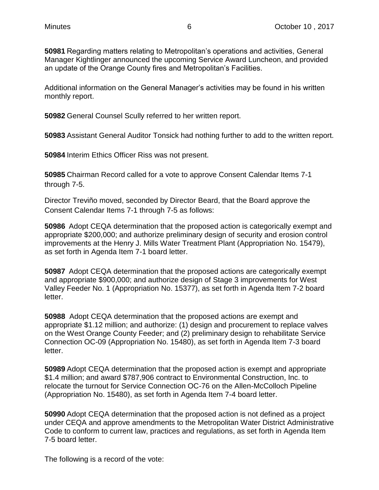**50981** Regarding matters relating to Metropolitan's operations and activities, General Manager Kightlinger announced the upcoming Service Award Luncheon, and provided an update of the Orange County fires and Metropolitan's Facilities.

Additional information on the General Manager's activities may be found in his written monthly report.

**50982** General Counsel Scully referred to her written report.

**50983** Assistant General Auditor Tonsick had nothing further to add to the written report.

**50984** Interim Ethics Officer Riss was not present.

**50985** Chairman Record called for a vote to approve Consent Calendar Items 7-1 through 7-5.

Director Treviño moved, seconded by Director Beard, that the Board approve the Consent Calendar Items 7-1 through 7-5 as follows:

**50986** Adopt CEQA determination that the proposed action is categorically exempt and appropriate \$200,000; and authorize preliminary design of security and erosion control improvements at the Henry J. Mills Water Treatment Plant (Appropriation No. 15479), as set forth in Agenda Item 7-1 board letter.

**50987** Adopt CEQA determination that the proposed actions are categorically exempt and appropriate \$900,000; and authorize design of Stage 3 improvements for West Valley Feeder No. 1 (Appropriation No. 15377), as set forth in Agenda Item 7-2 board letter.

**50988** Adopt CEQA determination that the proposed actions are exempt and appropriate \$1.12 million; and authorize: (1) design and procurement to replace valves on the West Orange County Feeder; and (2) preliminary design to rehabilitate Service Connection OC-09 (Appropriation No. 15480), as set forth in Agenda Item 7-3 board letter.

**50989** Adopt CEQA determination that the proposed action is exempt and appropriate \$1.4 million; and award \$787,906 contract to Environmental Construction, Inc. to relocate the turnout for Service Connection OC-76 on the Allen-McColloch Pipeline (Appropriation No. 15480), as set forth in Agenda Item 7-4 board letter.

**50990** Adopt CEQA determination that the proposed action is not defined as a project under CEQA and approve amendments to the Metropolitan Water District Administrative Code to conform to current law, practices and regulations, as set forth in Agenda Item 7-5 board letter.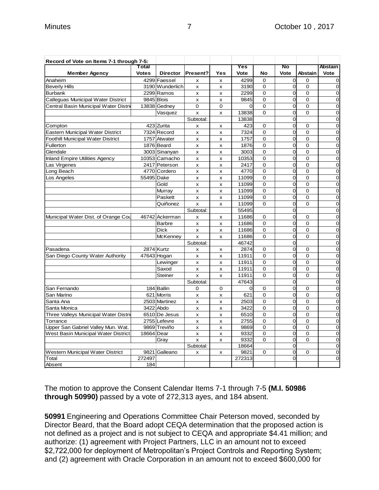| Record of Vote on Items 7-1 through 7-5: |              |                 |                           |                |          |                |                |                |                |
|------------------------------------------|--------------|-----------------|---------------------------|----------------|----------|----------------|----------------|----------------|----------------|
|                                          | Total        |                 |                           |                | Yes      |                | No             |                | Abstain        |
| <b>Member Agency</b>                     | <b>Votes</b> | <b>Director</b> | Present?                  | Yes            | Vote     | No             | Vote           | <b>Abstain</b> | Vote           |
| Anaheim                                  |              | 4299 Faessel    | X                         | X              | 4299     | 0              | 0              | $\mathbf 0$    | 0              |
| <b>Beverly Hills</b>                     |              | 3190 Wunderlich | x                         | x              | 3190     | $\mathbf 0$    | O              | $\mathbf 0$    | $\mathbf 0$    |
| <b>Burbank</b>                           |              | 2299 Ramos      | X                         | X              | 2299     | 0              | 0              | $\mathbf 0$    | $\overline{0}$ |
| Calleguas Municipal Water District       | 9845 Blois   |                 | X                         | $\pmb{\times}$ | 9845     | $\mathbf 0$    | O              | $\overline{0}$ | $\mathbf 0$    |
| Central Basin Municipal Water Distrid    |              | 13838 Gedney    | $\mathbf 0$               | 0              | 0        | 0              | 0              | $\mathbf 0$    | $\mathbf 0$    |
|                                          |              | Vasquez         | $\overline{\mathsf{x}}$   | X              | 13838    | $\Omega$       | Ō              | $\Omega$       | $\mathbf 0$    |
|                                          |              |                 | Subtotal:                 |                | 13838    |                | Ō              |                | $\overline{0}$ |
| Compton                                  |              | 423 Zurita      | $\mathsf{x}$              | x              | 423      | $\Omega$       | $\overline{0}$ | $\Omega$       | $\overline{0}$ |
| Eastern Municipal Water District         |              | 7324 Record     | x                         | x              | 7324     | $\Omega$       | $\overline{0}$ | $\Omega$       | $\mathbf 0$    |
| Foothill Municipal Water District        |              | 1757 Atwater    | x                         | X              | 1757     | 0              | O              | 0              | $\mathbf 0$    |
| Fullerton                                |              | 1876 Beard      | x                         | x              | 1876     | $\mathbf 0$    | Ō              | 0              | $\mathbf 0$    |
| Glendale                                 |              | 3003 Sinanyan   | X                         | X              | 3003     | 0              | 0              | $\mathbf 0$    | $\overline{0}$ |
| <b>Inland Empire Utilities Agency</b>    |              | 10353 Camacho   | X                         | $\pmb{\times}$ | 10353    | $\mathbf 0$    | O              | $\overline{0}$ | $\mathbf 0$    |
| Las Virgenes                             |              | 2417 Peterson   | $\pmb{\times}$            | x              | 2417     | 0              | 0              | $\mathbf 0$    | $\mathbf 0$    |
| Long Beach                               |              | 4770 Cordero    | x                         | x              | 4770     | $\mathbf 0$    | Ō              | $\overline{0}$ | $\mathbf 0$    |
| Los Angeles                              | 55495 Dake   |                 | x                         | X              | 11099    | $\mathbf 0$    | O              | $\overline{0}$ | $\overline{0}$ |
|                                          |              | Gold            | $\boldsymbol{\mathsf{x}}$ | x              | 11099    | $\Omega$       | Ō              | $\Omega$       | $\overline{0}$ |
|                                          |              | Murray          | x                         | x              | 11099    | $\Omega$       | O              | $\Omega$       | $\mathbf 0$    |
|                                          |              | Paskett         | x                         | X              | 11099    | 0              | O              | 0              | $\mathbf 0$    |
|                                          |              | Quiñonez        | $\pmb{\times}$            | x              | 11099    | $\Omega$       | Ō              | 0              | $\mathbf 0$    |
|                                          |              |                 | Subtotal:                 |                | 55495    |                | O              |                | $\mathbf 0$    |
| Municipal Water Dist. of Orange Cou      |              | 46742 Ackerman  | X                         | X              | 11686    | 0              | O              | $\mathbf 0$    | $\mathbf 0$    |
|                                          |              | <b>Barbre</b>   | $\pmb{\times}$            | x              | 11686    | $\overline{0}$ | O              | $\overline{0}$ | $\mathbf 0$    |
|                                          |              | <b>Dick</b>     | X                         | X              | 11686    | $\Omega$       | Ō              | $\Omega$       | $\overline{0}$ |
|                                          |              | McKenney        | $\boldsymbol{\mathsf{x}}$ | X              | 11686    | $\Omega$       | $\overline{0}$ | $\Omega$       | $\overline{0}$ |
|                                          |              |                 | Subtotal:                 |                | 46742    |                | O              |                | $\mathbf 0$    |
| Pasadena                                 |              | 2874 Kurtz      | x                         | x              | 2874     | 0              | O              | 0              | $\mathbf 0$    |
| San Diego County Water Authority         |              | 47643 Hogan     | x                         | x              | 11911    | 0              | Ō              | $\mathbf 0$    | $\mathbf 0$    |
|                                          |              | Lewinger        | $\mathsf{x}$              | X              | 11911    | $\mathbf 0$    | Ō              | $\mathbf 0$    | $\mathbf 0$    |
|                                          |              | Saxod           | $\pmb{\times}$            | X              | 11911    | 0              | 0              | $\mathbf 0$    | $\mathbf 0$    |
|                                          |              | Steiner         | x                         | x              | 11911    | $\Omega$       | $\overline{0}$ | $\overline{0}$ | $\mathbf 0$    |
|                                          |              |                 | Subtotal:                 |                | 47643    |                | Ō              |                | $\mathbf 0$    |
| San Fernando                             |              | 184 Ballin      | $\mathbf 0$               | $\mathbf 0$    | $\Omega$ | $\mathbf 0$    | O              | $\Omega$       | $\overline{0}$ |
| San Marino                               |              | 621 Morris      | X                         | x              | 621      | $\Omega$       | $\overline{O}$ | $\Omega$       | $\overline{0}$ |
| Santa Ana                                |              | 2503 Martinez   | x                         | x              | 2503     | $\Omega$       | 0              | $\Omega$       | $\mathbf 0$    |
| Santa Monica                             |              | 3422 Abdo       | x                         | x              | 3422     | 0              | O              | 0              | $\mathbf 0$    |
| Three Valleys Municipal Water Distric    |              | 6510 De Jesus   | x                         | X              | 6510     | $\mathbf 0$    | O              | $\mathbf 0$    | $\mathbf 0$    |
| Torrance                                 |              | 2755 Lefevre    | X                         | X              | 2755     | $\mathbf 0$    | Ō              | $\mathbf 0$    | $\mathbf 0$    |
| Upper San Gabriel Valley Mun. Wat.       |              | 9869 Treviño    | X                         | x              | 9869     | $\mathbf 0$    | 0              | $\overline{0}$ | $\mathbf 0$    |
| West Basin Municipal Water District      | 18664 Dear   |                 | X                         | x              | 9332     | $\mathbf 0$    | O              | $\Omega$       | $\mathbf 0$    |
|                                          |              | Gray            | X                         | X              | 9332     | 0              | 0              | $\mathbf 0$    | $\mathbf 0$    |
|                                          |              |                 | Subtotal:                 |                | 18664    |                | 0              |                | $\mathbf 0$    |
| Western Municipal Water District         |              | 9821 Galleano   | X                         | X              | 9821     | 0              | 0              | 0              | $\mathbf 0$    |
| Total                                    | 272497       |                 |                           |                | 272313   |                | O              |                | $\mathbf 0$    |
| Absent                                   | 184          |                 |                           |                |          |                |                |                |                |

The motion to approve the Consent Calendar Items 7-1 through 7-5 **(M.I. 50986 through 50990)** passed by a vote of 272,313 ayes, and 184 absent.

**50991** Engineering and Operations Committee Chair Peterson moved, seconded by Director Beard, that the Board adopt CEQA determination that the proposed action is not defined as a project and is not subject to CEQA and appropriate \$4.41 million; and authorize: (1) agreement with Project Partners, LLC in an amount not to exceed \$2,722,000 for deployment of Metropolitan's Project Controls and Reporting System; and (2) agreement with Oracle Corporation in an amount not to exceed \$600,000 for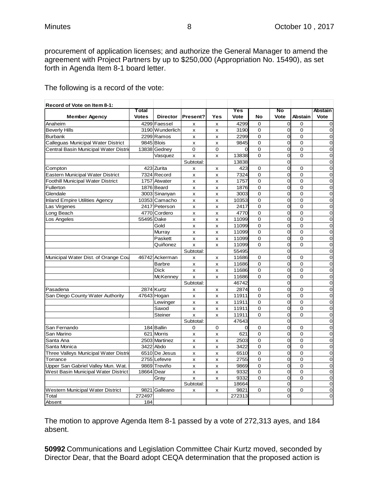procurement of application licenses; and authorize the General Manager to amend the agreement with Project Partners by up to \$250,000 (Appropriation No. 15490), as set forth in Agenda Item 8-1 board letter.

| Record of Vote on Item 8-1:           |              |                 |                |                           |          |                |                |                |                |
|---------------------------------------|--------------|-----------------|----------------|---------------------------|----------|----------------|----------------|----------------|----------------|
|                                       | Total        |                 |                |                           | Yes      |                | No             |                | Abstain        |
| <b>Member Agency</b>                  | <b>Votes</b> | <b>Director</b> | Present?       | Yes                       | Vote     | No             | Vote           | <b>Abstain</b> | Vote           |
| Anaheim                               |              | 4299 Faessel    | x              | X                         | 4299     | $\Omega$       | $\overline{O}$ | $\Omega$       | $\mathbf 0$    |
| <b>Beverly Hills</b>                  |              | 3190 Wunderlich | x              | X                         | 3190     | 0              | $\mathbf 0$    | $\Omega$       | $\mathbf 0$    |
| <b>Burbank</b>                        |              | 2299 Ramos      | x              | X                         | 2299     | $\overline{0}$ | $\overline{O}$ | $\overline{0}$ | $\mathbf 0$    |
| Calleguas Municipal Water District    |              | 9845 Blois      | X              | X                         | 9845     | $\mathbf 0$    | 0              | $\mathbf 0$    | $\mathbf 0$    |
| Central Basin Municipal Water Distri  |              | 13838 Gednev    | $\Omega$       | $\Omega$                  | $\Omega$ | $\Omega$       | $\overline{O}$ | $\Omega$       | $\overline{0}$ |
|                                       |              | Vasquez         | x              | x                         | 13838    | $\overline{0}$ | $\overline{O}$ | $\overline{0}$ | $\mathbf 0$    |
|                                       |              |                 | Subtotal:      |                           | 13838    |                | $\overline{O}$ |                | $\overline{0}$ |
| Compton                               |              | 423 Zurita      | x              | X                         | 423      | $\mathbf 0$    | O              | $\Omega$       | $\mathbf 0$    |
| Eastern Municipal Water District      |              | 7324 Record     | x              | $\pmb{\times}$            | 7324     | $\mathbf 0$    | $\mathbf 0$    | $\mathbf 0$    | $\mathbf 0$    |
| Foothill Municipal Water District     |              | 1757 Atwater    | x              | X                         | 1757     | 0              | $\overline{O}$ | $\overline{0}$ | O              |
| Fullerton                             |              | 1876 Beard      | x              | X                         | 1876     | $\mathbf 0$    | $\overline{0}$ | $\mathbf 0$    | $\mathbf 0$    |
| Glendale                              |              | 3003 Sinanyan   | X              | $\boldsymbol{\mathsf{x}}$ | 3003     | $\Omega$       | $\overline{0}$ | $\Omega$       | $\mathbf 0$    |
| <b>Inland Empire Utilities Agency</b> |              | 10353 Camacho   | x              | x                         | 10353    | $\overline{0}$ | $\overline{O}$ | $\overline{0}$ | $\mathbf 0$    |
| Las Virgenes                          |              | 2417 Peterson   | x              | X                         | 2417     | $\mathbf 0$    | 0              | $\overline{0}$ | $\mathbf 0$    |
| Long Beach                            |              | 4770 Cordero    | x              | $\boldsymbol{\mathsf{x}}$ | 4770     | $\Omega$       | O              | $\Omega$       | $\mathbf 0$    |
| Los Angeles                           | 55495 Dake   |                 | X              | X                         | 11099    | $\overline{0}$ | $\mathbf 0$    | $\overline{0}$ | $\mathbf 0$    |
|                                       |              | Gold            | x              | x                         | 11099    | 0              | O              | $\overline{0}$ | $\mathbf 0$    |
|                                       |              | Murray          | x              | X                         | 11099    | $\mathbf 0$    | $\overline{0}$ | $\mathbf 0$    | $\mathbf 0$    |
|                                       |              | Paskett         | X              | $\boldsymbol{\mathsf{x}}$ | 11099    | $\Omega$       | $\overline{0}$ | $\Omega$       | $\mathbf 0$    |
|                                       |              | Quiñonez        | x              | X                         | 11099    | $\Omega$       | $\overline{O}$ | $\Omega$       | $\mathbf 0$    |
|                                       |              |                 | Subtotal:      |                           | 55495    |                | 0              |                | $\mathbf 0$    |
| Municipal Water Dist. of Orange Cou   |              | 46742 Ackerman  | x              | X                         | 11686    | $\mathbf 0$    | $\overline{O}$ | $\Omega$       | $\mathbf 0$    |
|                                       |              | <b>Barbre</b>   | $\pmb{\times}$ | $\pmb{\times}$            | 11686    | $\overline{0}$ | $\overline{0}$ | $\overline{0}$ | $\mathbf 0$    |
|                                       |              | <b>Dick</b>     | x              | X                         | 11686    | $\Omega$       | O              | $\Omega$       | $\mathbf 0$    |
|                                       |              | <b>McKenney</b> | X              | X                         | 11686    | $\Omega$       | O              | $\mathbf 0$    | $\mathbf 0$    |
|                                       |              |                 | Subtotal:      |                           | 46742    |                | $\overline{0}$ |                | $\mathbf 0$    |
| Pasadena                              |              | 2874 Kurtz      | x              | X                         | 2874     | $\mathbf 0$    | $\overline{O}$ | $\Omega$       | $\mathbf 0$    |
| San Diego County Water Authority      |              | 47643 Hogan     | x              | X                         | 11911    | $\mathbf 0$    | 0              | $\overline{0}$ | $\mathbf 0$    |
|                                       |              | Lewinger        | x              | $\boldsymbol{\mathsf{x}}$ | 11911    | $\overline{0}$ | O              | $\Omega$       | $\mathbf 0$    |
|                                       |              | Saxod           | $\pmb{\times}$ | $\pmb{\times}$            | 11911    | 0              | $\overline{0}$ | $\overline{0}$ | $\mathbf 0$    |
|                                       |              | <b>Steiner</b>  | X              | X                         | 11911    | $\Omega$       | O              | $\Omega$       | $\overline{0}$ |
|                                       |              |                 | Subtotal:      |                           | 47643    |                | O              |                | $\mathbf 0$    |
| San Fernando                          |              | 184 Ballin      | $\Omega$       | $\Omega$                  | $\Omega$ | $\Omega$       | $\Omega$       | $\Omega$       | $\mathbf 0$    |
| San Marino                            |              | 621 Morris      | x              | X                         | 621      | $\mathbf 0$    | O              | $\overline{0}$ | $\mathbf 0$    |
| Santa Ana                             |              | 2503 Martinez   | x              | X                         | 2503     | $\mathbf 0$    | 0              | $\mathbf 0$    | O              |
| Santa Monica                          |              | 3422 Abdo       | $\mathsf{x}$   | $\boldsymbol{\mathsf{x}}$ | 3422     | $\mathbf 0$    | $\overline{0}$ | $\Omega$       | $\mathbf 0$    |
| Three Valleys Municipal Water Distrie |              | 6510 De Jesus   | x              | $\pmb{\times}$            | 6510     | 0              | $\mathbf 0$    | $\mathbf 0$    | $\mathbf 0$    |
| Torrance                              |              | 2755 Lefevre    | x              | X                         | 2755     | $\mathbf 0$    | O              | $\overline{0}$ | $\mathbf 0$    |
| Upper San Gabriel Valley Mun. Wat.    |              | 9869 Treviño    | X              | $\boldsymbol{\mathsf{x}}$ | 9869     | $\mathbf 0$    | O              | $\mathbf 0$    | $\mathbf 0$    |
| West Basin Municipal Water District   | 18664 Dear   |                 | X              | $\boldsymbol{\mathsf{x}}$ | 9332     | $\Omega$       | O              | $\Omega$       | $\mathbf 0$    |
|                                       |              | Gray            | X              | $\pmb{\times}$            | 9332     | $\Omega$       | O              | $\Omega$       | $\mathbf 0$    |
|                                       |              |                 | Subtotal:      |                           | 18664    |                | $\overline{O}$ |                | $\mathbf 0$    |
| Western Municipal Water District      |              | 9821 Galleano   | x              | X                         | 9821     | 0              | $\overline{0}$ | 0              | $\mathbf 0$    |
| Total                                 | 272497       |                 |                |                           | 272313   |                | $\Omega$       |                | $\mathbf 0$    |
| Absent                                | 184          |                 |                |                           |          |                |                |                |                |

The following is a record of the vote:

The motion to approve Agenda Item 8-1 passed by a vote of 272,313 ayes, and 184 absent.

**50992** Communications and Legislation Committee Chair Kurtz moved, seconded by Director Dear, that the Board adopt CEQA determination that the proposed action is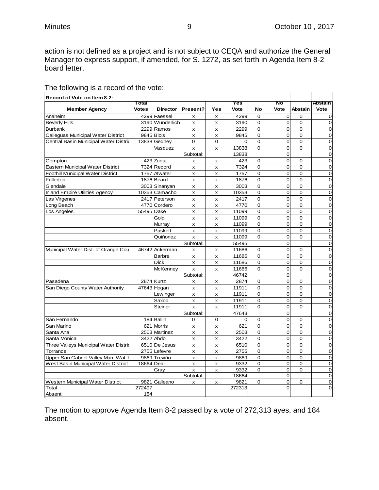action is not defined as a project and is not subject to CEQA and authorize the General Manager to express support, if amended, for S. 1272, as set forth in Agenda Item 8-2 board letter.

| The following is a record of the vote: |
|----------------------------------------|
|----------------------------------------|

| Record of Vote on Item 8-2:              |              |                 |                |                           |                |                |                |                |                |
|------------------------------------------|--------------|-----------------|----------------|---------------------------|----------------|----------------|----------------|----------------|----------------|
|                                          | Total        |                 |                |                           | Yes            |                | No             |                | <b>Abstain</b> |
| <b>Member Agency</b>                     | <b>Votes</b> | <b>Director</b> | Present?       | Yes                       | Vote           | No             | Vote           | Abstain        | Vote           |
| Anaheim                                  |              | 4299 Faessel    | x              | x                         | 4299           | $\mathbf 0$    | 0              | $\Omega$       | $\mathbf 0$    |
| <b>Beverly Hills</b>                     |              | 3190 Wunderlich | x              | x                         | 3190           | 0              | 0              | $\mathbf 0$    | $\mathbf 0$    |
| <b>Burbank</b>                           |              | 2299 Ramos      | x              | x                         | 2299           | $\mathbf 0$    | $\overline{0}$ | $\mathbf 0$    | 0              |
| Calleguas Municipal Water District       |              | 9845 Blois      | x              | X                         | 9845           | $\mathbf 0$    | $\overline{0}$ | $\Omega$       | $\overline{0}$ |
| Central Basin Municipal Water Distri     |              | 13838 Gedney    | $\Omega$       | $\Omega$                  | $\Omega$       | $\Omega$       | $\Omega$       | $\Omega$       | $\overline{0}$ |
|                                          |              | Vasquez         | x              | x                         | 13838          | $\mathbf 0$    | $\overline{0}$ | $\mathbf 0$    | $\mathbf 0$    |
|                                          |              |                 | Subtotal:      |                           | 13838          |                | $\overline{0}$ |                | $\mathbf 0$    |
| Compton                                  |              | 423 Zurita      | x              | x                         | 423            | $\mathbf 0$    | 0              | $\Omega$       | $\mathbf 0$    |
| <b>Eastern Municipal Water District</b>  |              | 7324 Record     | x              | x                         | 7324           | $\mathbf 0$    | 0              | $\mathbf 0$    | $\mathbf 0$    |
| <b>Foothill Municipal Water District</b> |              | 1757 Atwater    | x              | X                         | 1757           | $\mathbf 0$    | $\overline{0}$ | $\mathbf 0$    | $\mathbf 0$    |
| Fullerton                                |              | 1876 Beard      | x              | $\pmb{\times}$            | 1876           | 0              | $\overline{0}$ | $\Omega$       | $\mathbf 0$    |
| Glendale                                 |              | 3003 Sinanyan   | x              | x                         | 3003           | $\overline{0}$ | $\overline{0}$ | $\overline{0}$ | $\overline{0}$ |
| <b>Inland Empire Utilities Agency</b>    |              | 10353 Camacho   | x              | x                         | 10353          | $\mathbf 0$    | 0              | $\mathbf 0$    | 0              |
| Las Virgenes                             |              | 2417 Peterson   | x              | x                         | 2417           | $\mathbf 0$    | $\Omega$       | $\Omega$       | $\overline{0}$ |
| Long Beach                               |              | 4770 Cordero    | x              | x                         | 4770           | 0              | $\overline{0}$ | $\mathbf 0$    | $\mathbf 0$    |
| Los Angeles                              | 55495 Dake   |                 | x              | X                         | 11099          | 0              | $\overline{0}$ | $\Omega$       | $\mathbf 0$    |
|                                          |              | Gold            | $\mathsf{x}$   | $\pmb{\times}$            | 11099          | $\overline{0}$ | $\overline{0}$ | $\overline{0}$ | $\mathbf 0$    |
|                                          |              | Murray          | x              | x                         | 11099          | $\mathbf 0$    | $\overline{0}$ | $\mathbf 0$    | $\mathbf 0$    |
|                                          |              | Paskett         | x              | x                         | 11099          | $\mathbf 0$    | $\overline{0}$ | $\mathbf 0$    | $\mathbf 0$    |
|                                          |              | Quiñonez        | x              | X                         | 11099          | $\Omega$       | $\overline{0}$ | $\mathbf 0$    | $\mathbf 0$    |
|                                          |              |                 | Subtotal:      |                           | 55495          |                | $\Omega$       |                | $\overline{0}$ |
| Municipal Water Dist. of Orange Cou      |              | 46742 Ackerman  | x              | x                         | 11686          | 0              | $\overline{0}$ | 0              | $\mathbf 0$    |
|                                          |              | <b>Barbre</b>   | x              | X                         | 11686          | 0              | $\overline{0}$ | $\mathbf 0$    | $\mathbf 0$    |
|                                          |              | <b>Dick</b>     | $\mathsf{x}$   | x                         | 11686          | $\mathbf 0$    | $\overline{0}$ | $\mathbf 0$    | $\mathbf 0$    |
|                                          |              | McKenney        | x              | X                         | 11686          | $\Omega$       | O              | $\mathbf 0$    | 0              |
|                                          |              |                 | Subtotal:      |                           | 46742          |                | $\overline{0}$ |                | $\mathbf 0$    |
| Pasadena                                 |              | 2874 Kurtz      | x              | x                         | 2874           | $\mathbf 0$    | $\overline{0}$ | $\mathbf 0$    | $\mathbf 0$    |
| San Diego County Water Authority         |              | 47643 Hogan     | x              | x                         | 11911          | 0              | $\overline{0}$ | $\overline{0}$ | $\mathbf 0$    |
|                                          |              | Lewinger        | x              | x                         | 11911          | 0              | $\overline{0}$ | $\mathbf 0$    | $\mathbf 0$    |
|                                          |              | Saxod           | x              | $\boldsymbol{\mathsf{x}}$ | 11911          | $\mathbf 0$    | $\overline{0}$ | $\mathbf 0$    | $\mathbf 0$    |
|                                          |              | Steiner         | $\mathsf{x}$   | X                         | 11911          | $\Omega$       | $\overline{0}$ | $\Omega$       | $\mathbf 0$    |
|                                          |              |                 | Subtotal:      |                           | 47643          |                | 0              |                | $\mathbf 0$    |
| San Fernando                             |              | 184 Ballin      | 0              | 0                         | $\overline{0}$ | $\mathbf 0$    | $\overline{0}$ | $\mathbf 0$    | $\mathbf 0$    |
| San Marino                               |              | 621 Morris      | x              | x                         | 621            | $\overline{0}$ | $\overline{0}$ | $\mathbf 0$    | $\mathbf 0$    |
| Santa Ana                                |              | 2503 Martinez   | x              | x                         | 2503           | $\mathbf 0$    | 0              | $\mathbf 0$    | $\mathbf 0$    |
| Santa Monica                             |              | 3422 Abdo       | x              | x                         | 3422           | 0              | $\overline{0}$ | 0              | $\mathbf 0$    |
| Three Valleys Municipal Water Distri     |              | 6510 De Jesus   | x              | $\boldsymbol{\mathsf{x}}$ | 6510           | $\mathbf 0$    | $\overline{0}$ | $\mathbf 0$    | $\mathbf 0$    |
| Torrance                                 |              | 2755 Lefevre    | X              | x                         | 2755           | $\overline{0}$ | $\overline{0}$ | $\mathbf 0$    | $\mathbf 0$    |
| Upper San Gabriel Valley Mun. Wat.       |              | 9869 Treviño    | x              | x                         | 9869           | $\mathbf 0$    | $\overline{0}$ | $\mathbf 0$    | $\mathbf 0$    |
| West Basin Municipal Water District      | 18664 Dear   |                 | x              | x                         | 9332           | $\mathbf 0$    | $\overline{0}$ | $\overline{0}$ | $\mathbf 0$    |
|                                          |              | Gray            | $\pmb{\times}$ | x                         | 9332           | $\mathbf 0$    | $\overline{0}$ | $\mathbf 0$    | 0              |
|                                          |              |                 | Subtotal:      |                           | 18664          |                | 0              |                | $\mathbf 0$    |
| Western Municipal Water District         |              | 9821 Galleano   | x              | x                         | 9821           | 0              | 0              | 0              | 0              |
| Total                                    | 272497       |                 |                |                           | 272313         |                | $\Omega$       |                | $\overline{0}$ |
| Absent                                   | 184          |                 |                |                           |                |                |                |                |                |

The motion to approve Agenda Item 8-2 passed by a vote of 272,313 ayes, and 184 absent.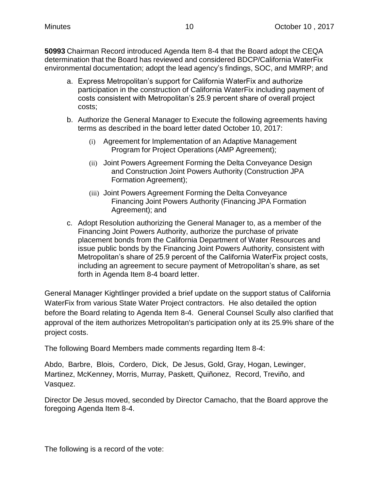**50993** Chairman Record introduced Agenda Item 8-4 that the Board adopt the CEQA determination that the Board has reviewed and considered BDCP/California WaterFix environmental documentation; adopt the lead agency's findings, SOC, and MMRP; and

- a. Express Metropolitan's support for California WaterFix and authorize participation in the construction of California WaterFix including payment of costs consistent with Metropolitan's 25.9 percent share of overall project costs;
- b. Authorize the General Manager to Execute the following agreements having terms as described in the board letter dated October 10, 2017:
	- (i) Agreement for Implementation of an Adaptive Management Program for Project Operations (AMP Agreement);
	- (ii) Joint Powers Agreement Forming the Delta Conveyance Design and Construction Joint Powers Authority (Construction JPA Formation Agreement);
	- (iii) Joint Powers Agreement Forming the Delta Conveyance Financing Joint Powers Authority (Financing JPA Formation Agreement); and
- c. Adopt Resolution authorizing the General Manager to, as a member of the Financing Joint Powers Authority, authorize the purchase of private placement bonds from the California Department of Water Resources and issue public bonds by the Financing Joint Powers Authority, consistent with Metropolitan's share of 25.9 percent of the California WaterFix project costs, including an agreement to secure payment of Metropolitan's share, as set forth in Agenda Item 8-4 board letter.

General Manager Kightlinger provided a brief update on the support status of California WaterFix from various State Water Project contractors. He also detailed the option before the Board relating to Agenda Item 8-4. General Counsel Scully also clarified that approval of the item authorizes Metropolitan's participation only at its 25.9% share of the project costs.

The following Board Members made comments regarding Item 8-4:

Abdo, Barbre, Blois, Cordero, Dick, De Jesus, Gold, Gray, Hogan, Lewinger, Martinez, McKenney, Morris, Murray, Paskett, Quiñonez, Record, Treviño, and Vasquez.

Director De Jesus moved, seconded by Director Camacho, that the Board approve the foregoing Agenda Item 8-4.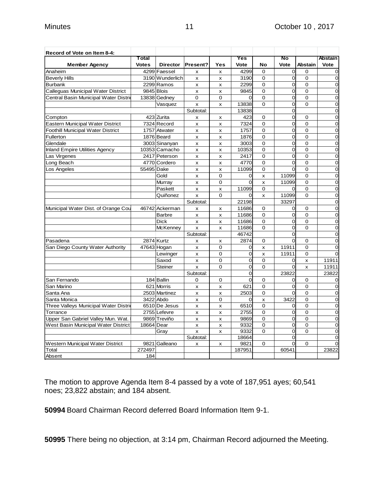| Record of Vote on Item 8-4:           |              |                 |                |                |                |                           |                |                |                |
|---------------------------------------|--------------|-----------------|----------------|----------------|----------------|---------------------------|----------------|----------------|----------------|
|                                       | Total        |                 |                |                | Yes            |                           | No             |                | <b>Abstain</b> |
| <b>Member Agency</b>                  | <b>Votes</b> | <b>Director</b> | Present?       | Yes            | Vote           | <b>No</b>                 | Vote           | <b>Abstain</b> | Vote           |
| Anaheim                               |              | 4299 Faessel    | X              | x              | 4299           | $\mathbf 0$               | $\overline{0}$ | $\mathbf 0$    | $\mathbf 0$    |
| <b>Beverly Hills</b>                  |              | 3190 Wunderlich | x              | x              | 3190           | $\mathbf 0$               | $\overline{0}$ | $\Omega$       | $\mathbf 0$    |
| <b>Burbank</b>                        |              | 2299 Ramos      | x              | x              | 2299           | 0                         | 0              | $\mathbf 0$    | $\mathbf 0$    |
| Calleguas Municipal Water District    |              | 9845 Blois      | x              | X              | 9845           | $\overline{0}$            | $\overline{O}$ | $\overline{0}$ | $\mathbf 0$    |
| Central Basin Municipal Water Distri  |              | 13838 Gedney    | 0              | $\mathbf 0$    | $\Omega$       | $\mathbf 0$               | $\overline{0}$ | $\mathbf 0$    | $\mathbf 0$    |
|                                       |              | Vasquez         | x              | X              | 13838          | $\Omega$                  | $\Omega$       | $\Omega$       | $\mathbf 0$    |
|                                       |              |                 | Subtotal:      |                | 13838          |                           | $\overline{0}$ |                | $\mathbf 0$    |
| Compton                               |              | 423 Zurita      | x              | x              | 423            | $\mathbf 0$               | O              | 0              | $\mathbf 0$    |
| Eastern Municipal Water District      |              | 7324 Record     | $\mathsf{x}$   | x              | 7324           | $\overline{0}$            | 0              | $\Omega$       | $\overline{0}$ |
| Foothill Municipal Water District     |              | 1757 Atwater    | x              | x              | 1757           | $\Omega$                  | $\overline{O}$ | $\Omega$       | $\mathbf 0$    |
| Fullerton                             |              | 1876 Beard      | x              | X              | 1876           | $\Omega$                  | $\Omega$       | $\Omega$       | $\mathbf 0$    |
| Glendale                              |              | 3003 Sinanyan   | x              | x              | 3003           | 0                         | 0              | $\mathbf 0$    | $\mathbf 0$    |
| <b>Inland Empire Utilities Agency</b> |              | 10353 Camacho   | x              | x              | 10353          | $\mathbf 0$               | 0              | $\mathbf 0$    | $\mathbf 0$    |
| Las Virgenes                          |              | 2417 Peterson   | x              | x              | 2417           | 0                         | 0              | $\mathbf 0$    | $\mathbf 0$    |
| Long Beach                            |              | 4770 Cordero    | x              | X              | 4770           | $\mathbf 0$               | $\Omega$       | $\mathbf 0$    | $\mathbf 0$    |
| Los Angeles                           | 55495 Dake   |                 | X              | $\pmb{\times}$ | 11099          | 0                         | $\Omega$       | $\mathbf 0$    | $\mathbf 0$    |
|                                       |              | Gold            | X              | $\Omega$       | 0              | x                         | 11099          | $\Omega$       | $\mathbf 0$    |
|                                       |              | Murray          | X              | 0              | $\Omega$       | $\mathsf{x}$              | 11099          | $\Omega$       | $\mathbf 0$    |
|                                       |              | Paskett         | x              | X              | 11099          | $\mathbf 0$               | 0              | $\mathbf 0$    | $\mathbf 0$    |
|                                       |              | Quiñonez        | X              | $\Omega$       | $\overline{0}$ | $\mathsf{x}$              | 11099          | $\overline{0}$ | $\mathbf 0$    |
|                                       |              |                 | Subtotal:      |                | 22198          |                           | 33297          |                | $\mathbf 0$    |
| Municipal Water Dist. of Orange Cou   |              | 46742 Ackerman  | $\mathsf{x}$   | X              | 11686          | $\mathbf 0$               | $\overline{O}$ | $\Omega$       | $\mathbf 0$    |
|                                       |              | <b>Barbre</b>   | x              | X              | 11686          | 0                         | 0              | $\overline{0}$ | $\mathbf 0$    |
|                                       |              | <b>Dick</b>     | x              | x              | 11686          | $\Omega$                  | $\overline{0}$ | $\Omega$       | $\mathbf 0$    |
|                                       |              | <b>McKenney</b> | $\mathsf{x}$   | x              | 11686          | $\Omega$                  | $\overline{0}$ | $\Omega$       | $\mathbf 0$    |
|                                       |              |                 | Subtotal:      |                | 46742          |                           | $\overline{0}$ |                | $\mathbf 0$    |
| Pasadena                              |              | 2874 Kurtz      | x              | x              | 2874           | $\Omega$                  | $\overline{0}$ | $\Omega$       | $\mathbf 0$    |
| San Diego County Water Authority      |              | 47643 Hogan     | x              | 0              | 0              | $\boldsymbol{\mathsf{x}}$ | 11911          | 0              | $\mathbf 0$    |
|                                       |              | Lewinger        | x              | 0              | 0              | x                         | 11911          | $\mathbf 0$    | $\overline{0}$ |
|                                       |              | Saxod           | x              | 0              | O              | 0                         | 0              | X              | 11911          |
|                                       |              | <b>Steiner</b>  | x              | $\Omega$       | $\overline{0}$ | $\overline{0}$            | <sub>O</sub>   | x              | 11911          |
|                                       |              |                 | Subtotal:      |                | 0              |                           | 23822          |                | 23822          |
| San Fernando                          |              | 184 Ballin      | 0              | 0              | $\overline{0}$ | $\mathbf 0$               | 0              | 0              | $\mathbf 0$    |
| San Marino                            |              | 621 Morris      | x              | x              | 621            | $\mathbf 0$               | 0              | $\mathbf 0$    | $\mathbf 0$    |
| Santa Ana                             |              | 2503 Martinez   | x              | x              | 2503           | $\mathbf 0$               | $\Omega$       | $\Omega$       | $\overline{0}$ |
| Santa Monica                          |              | 3422 Abdo       | x              | 0              | $\overline{0}$ | $\boldsymbol{\mathsf{x}}$ | 3422           | $\overline{0}$ | $\mathbf 0$    |
| Three Valleys Municipal Water Distrio |              | 6510 De Jesus   | x              | X              | 6510           | $\mathbf 0$               | 0              | $\mathbf 0$    | $\mathbf 0$    |
| Torrance                              |              | 2755 Lefevre    | $\mathsf{x}$   | $\mathsf{x}$   | 2755           | $\mathbf 0$               | 0              | $\overline{0}$ | $\mathbf 0$    |
| Upper San Gabriel Valley Mun. Wat.    |              | 9869 Treviño    | x              | x              | 9869           | $\mathbf 0$               | 0              | $\mathbf 0$    | $\mathbf 0$    |
| West Basin Municipal Water District   | 18664 Dear   |                 | $\pmb{\times}$ | $\pmb{\times}$ | 9332           | $\overline{0}$            | 0              | $\overline{0}$ | $\mathbf 0$    |
|                                       |              | Gray            | X              | X              | 9332           | $\mathbf 0$               | 0              | $\Omega$       | $\mathbf 0$    |
|                                       |              |                 | Subtotal:      |                | 18664          |                           | 0              |                | $\overline{0}$ |
| Western Municipal Water District      | 9821         | Galleano        | x              | X              | 9821           | $\mathbf 0$               | 0              | 0              | $\mathbf 0$    |
| Total                                 | 272497       |                 |                |                | 187951         |                           | 60541          |                | 23822          |
| Absent                                | 184          |                 |                |                |                |                           |                |                |                |

The motion to approve Agenda Item 8-4 passed by a vote of 187,951 ayes; 60,541 noes; 23,822 abstain; and 184 absent.

**50994** Board Chairman Record deferred Board Information Item 9-1.

**50995** There being no objection, at 3:14 pm, Chairman Record adjourned the Meeting.